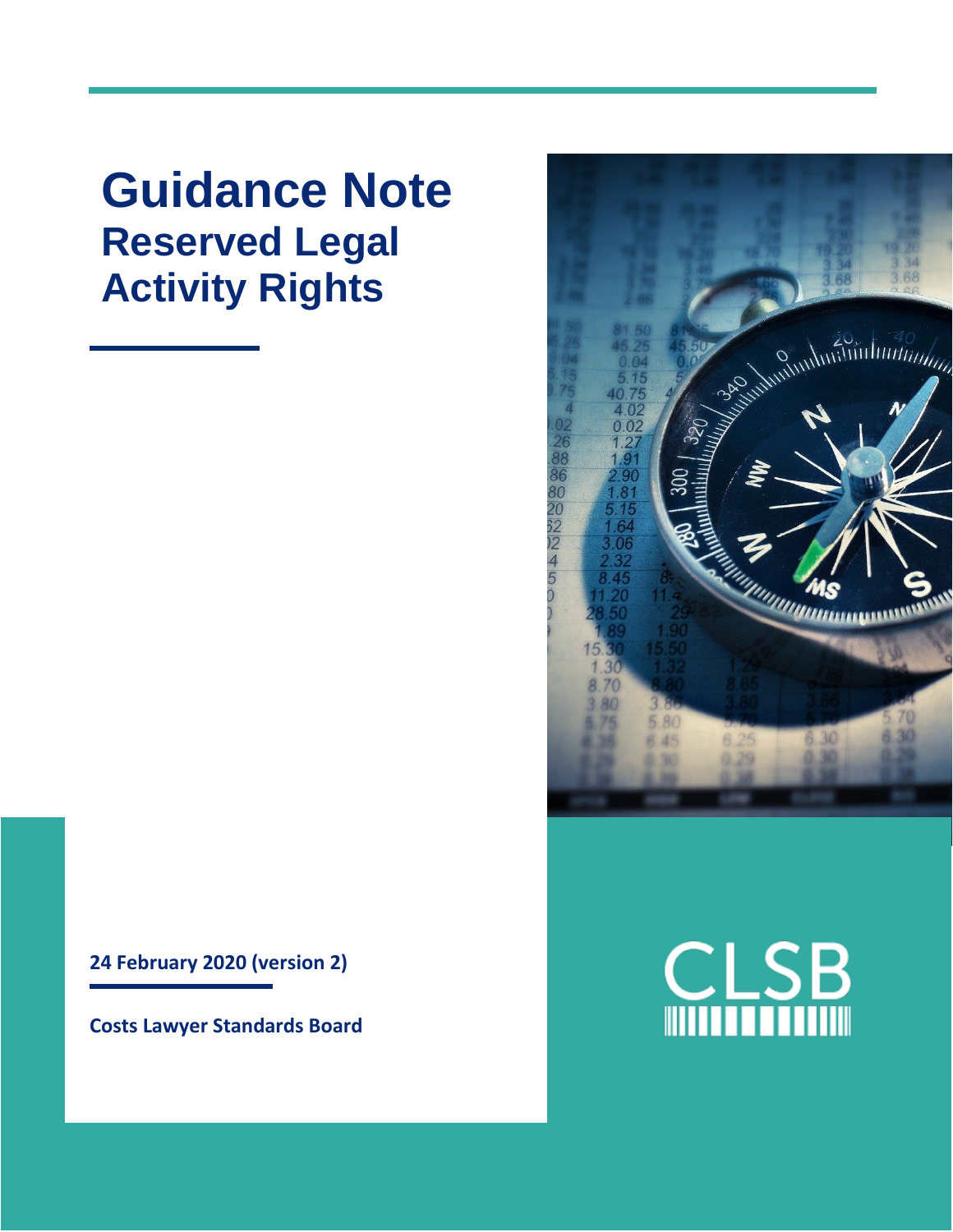**Guidance Note Reserved Legal Activity Rights**

**24 February 2020 (version 2)**

**Costs Lawyer Standards Board**



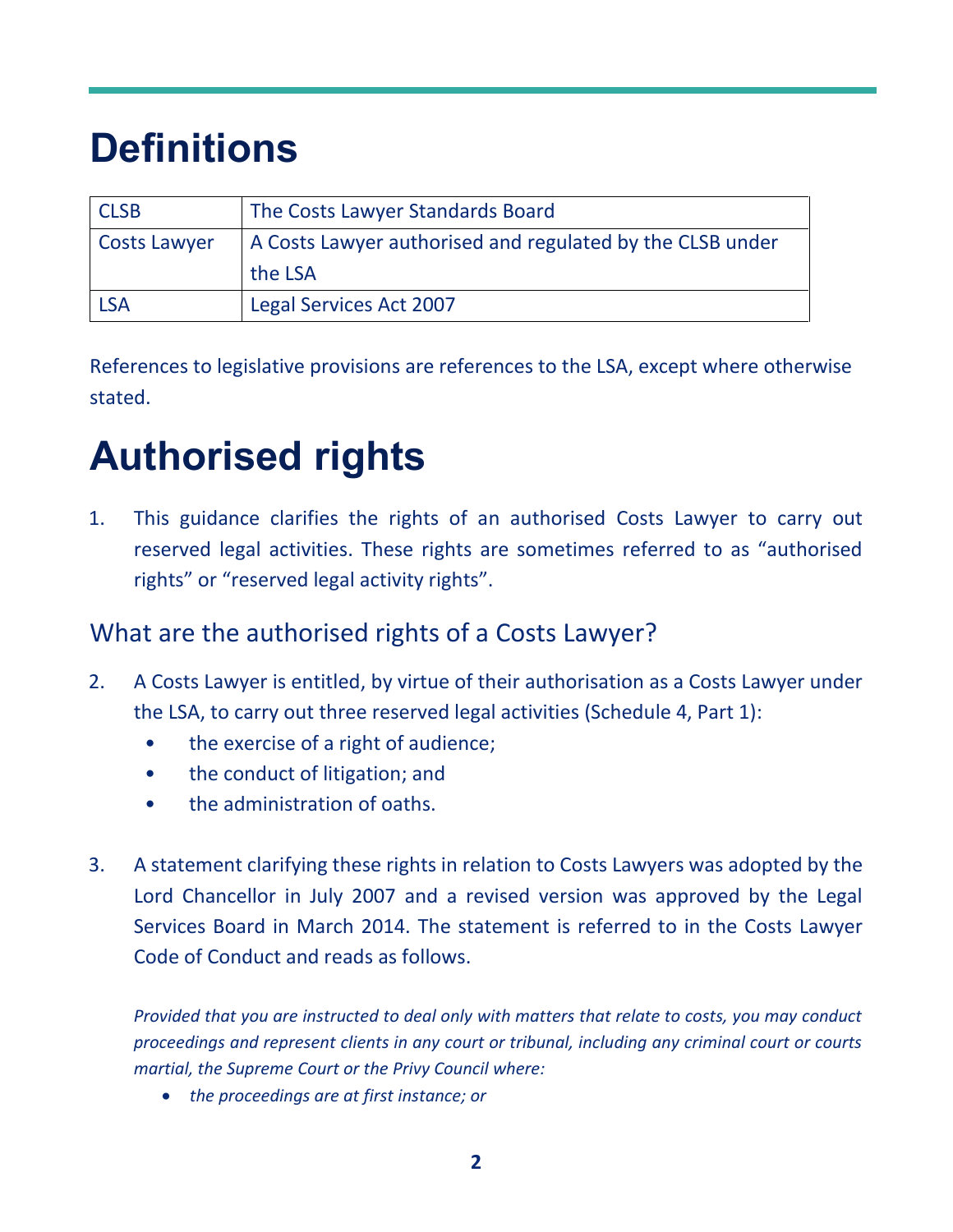# **Definitions**

| <b>CLSB</b>         | The Costs Lawyer Standards Board                          |
|---------------------|-----------------------------------------------------------|
| <b>Costs Lawyer</b> | A Costs Lawyer authorised and regulated by the CLSB under |
|                     | the LSA                                                   |
| <b>LSA</b>          | Legal Services Act 2007                                   |

References to legislative provisions are references to the LSA, except where otherwise stated.

# **Authorised rights**

1. This guidance clarifies the rights of an authorised Costs Lawyer to carry out reserved legal activities. These rights are sometimes referred to as "authorised rights" or "reserved legal activity rights".

## What are the authorised rights of a Costs Lawyer?

- 2. A Costs Lawyer is entitled, by virtue of their authorisation as a Costs Lawyer under the LSA, to carry out three reserved legal activities (Schedule 4, Part 1):
	- the exercise of a right of audience;
	- the conduct of litigation; and
	- the administration of oaths.
- 3. A statement clarifying these rights in relation to Costs Lawyers was adopted by the Lord Chancellor in July 2007 and a revised version was approved by the Legal Services Board in March 2014. The statement is referred to in the Costs Lawyer Code of Conduct and reads as follows.

*Provided that you are instructed to deal only with matters that relate to costs, you may conduct proceedings and represent clients in any court or tribunal, including any criminal court or courts martial, the Supreme Court or the Privy Council where:*

• *the proceedings are at first instance; or*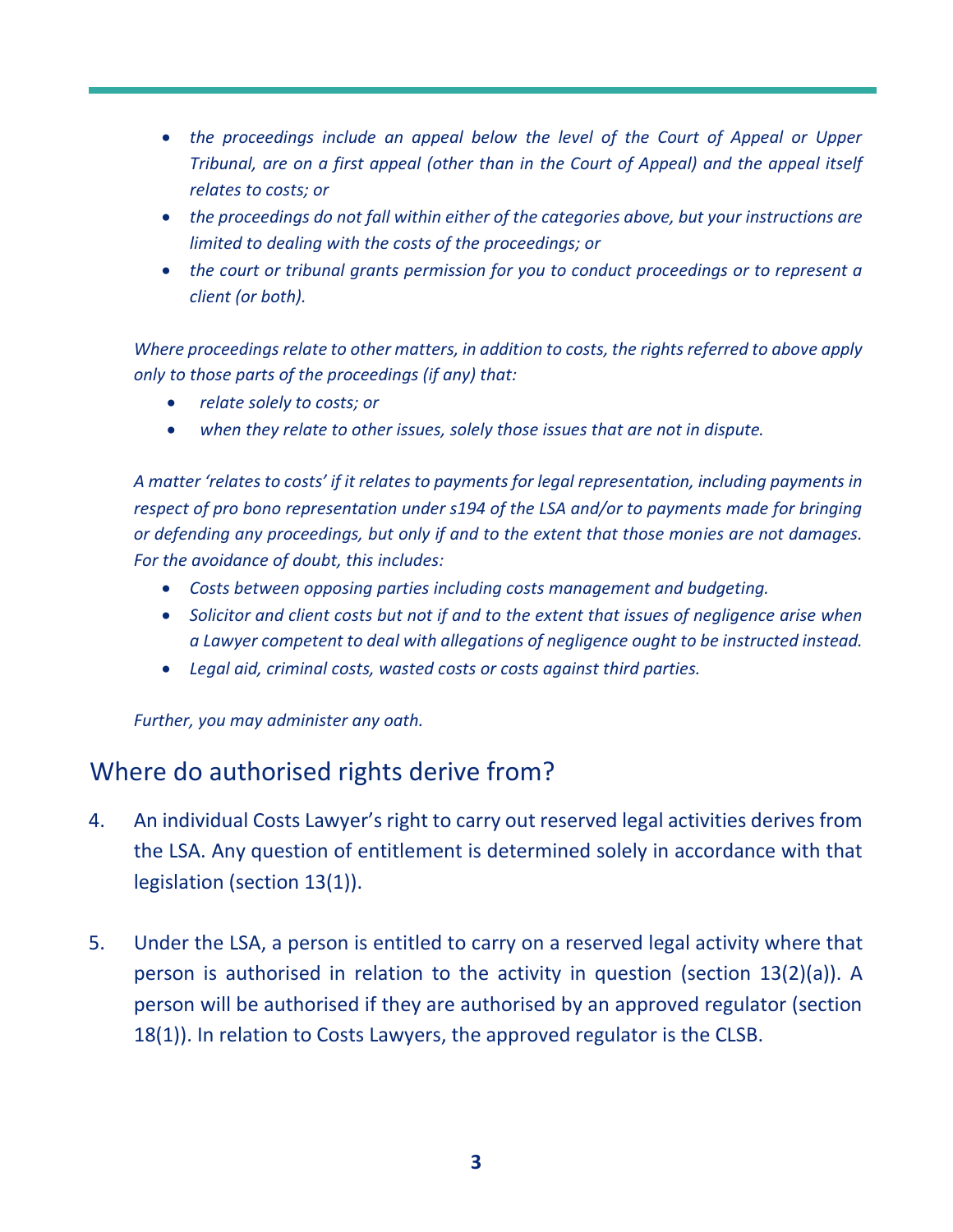- *the proceedings include an appeal below the level of the Court of Appeal or Upper Tribunal, are on a first appeal (other than in the Court of Appeal) and the appeal itself relates to costs; or*
- *the proceedings do not fall within either of the categories above, but your instructions are limited to dealing with the costs of the proceedings; or*
- *the court or tribunal grants permission for you to conduct proceedings or to represent a client (or both).*

*Where proceedings relate to other matters, in addition to costs, the rights referred to above apply only to those parts of the proceedings (if any) that:*

- *relate solely to costs; or*
- *when they relate to other issues, solely those issues that are not in dispute.*

*A matter 'relates to costs' if it relates to payments for legal representation, including payments in respect of pro bono representation under s194 of the LSA and/or to payments made for bringing or defending any proceedings, but only if and to the extent that those monies are not damages. For the avoidance of doubt, this includes:*

- *Costs between opposing parties including costs management and budgeting.*
- *Solicitor and client costs but not if and to the extent that issues of negligence arise when a Lawyer competent to deal with allegations of negligence ought to be instructed instead.*
- *Legal aid, criminal costs, wasted costs or costs against third parties.*

*Further, you may administer any oath.*

## Where do authorised rights derive from?

- 4. An individual Costs Lawyer's right to carry out reserved legal activities derives from the LSA. Any question of entitlement is determined solely in accordance with that legislation (section 13(1)).
- 5. Under the LSA, a person is entitled to carry on a reserved legal activity where that person is authorised in relation to the activity in question (section 13(2)(a)). A person will be authorised if they are authorised by an approved regulator (section 18(1)). In relation to Costs Lawyers, the approved regulator is the CLSB.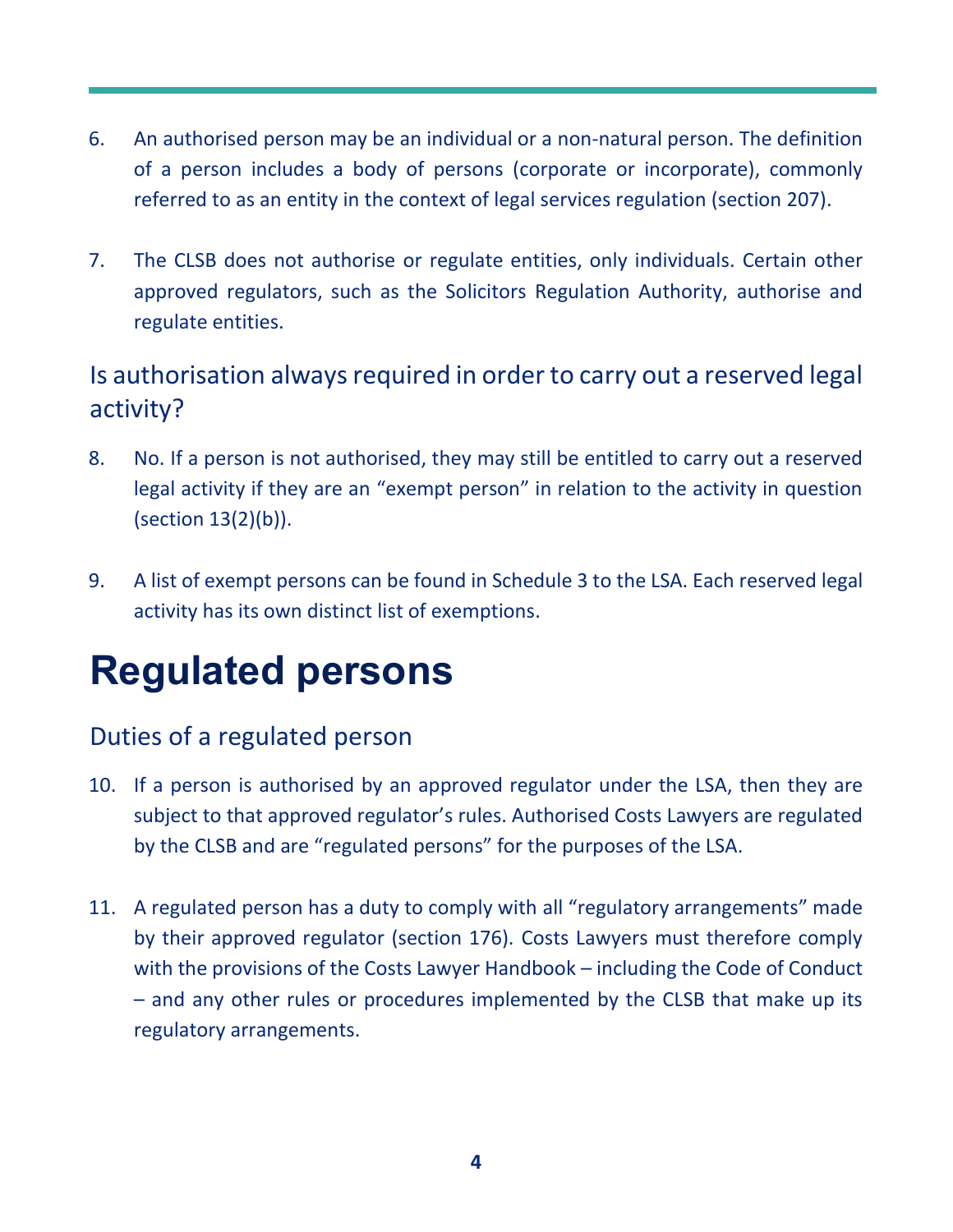- 6. An authorised person may be an individual or a non-natural person. The definition of a person includes a body of persons (corporate or incorporate), commonly referred to as an entity in the context of legal services regulation (section 207).
- 7. The CLSB does not authorise or regulate entities, only individuals. Certain other approved regulators, such as the Solicitors Regulation Authority, authorise and regulate entities.

## Is authorisation always required in order to carry out a reserved legal activity?

- 8. No. If a person is not authorised, they may still be entitled to carry out a reserved legal activity if they are an "exempt person" in relation to the activity in question (section 13(2)(b)).
- 9. A list of exempt persons can be found in Schedule 3 to the LSA. Each reserved legal activity has its own distinct list of exemptions.

## **Regulated persons**

## Duties of a regulated person

- 10. If a person is authorised by an approved regulator under the LSA, then they are subject to that approved regulator's rules. Authorised Costs Lawyers are regulated by the CLSB and are "regulated persons" for the purposes of the LSA.
- 11. A regulated person has a duty to comply with all "regulatory arrangements" made by their approved regulator (section 176). Costs Lawyers must therefore comply with the provisions of the Costs Lawyer Handbook – including the Code of Conduct – and any other rules or procedures implemented by the CLSB that make up its regulatory arrangements.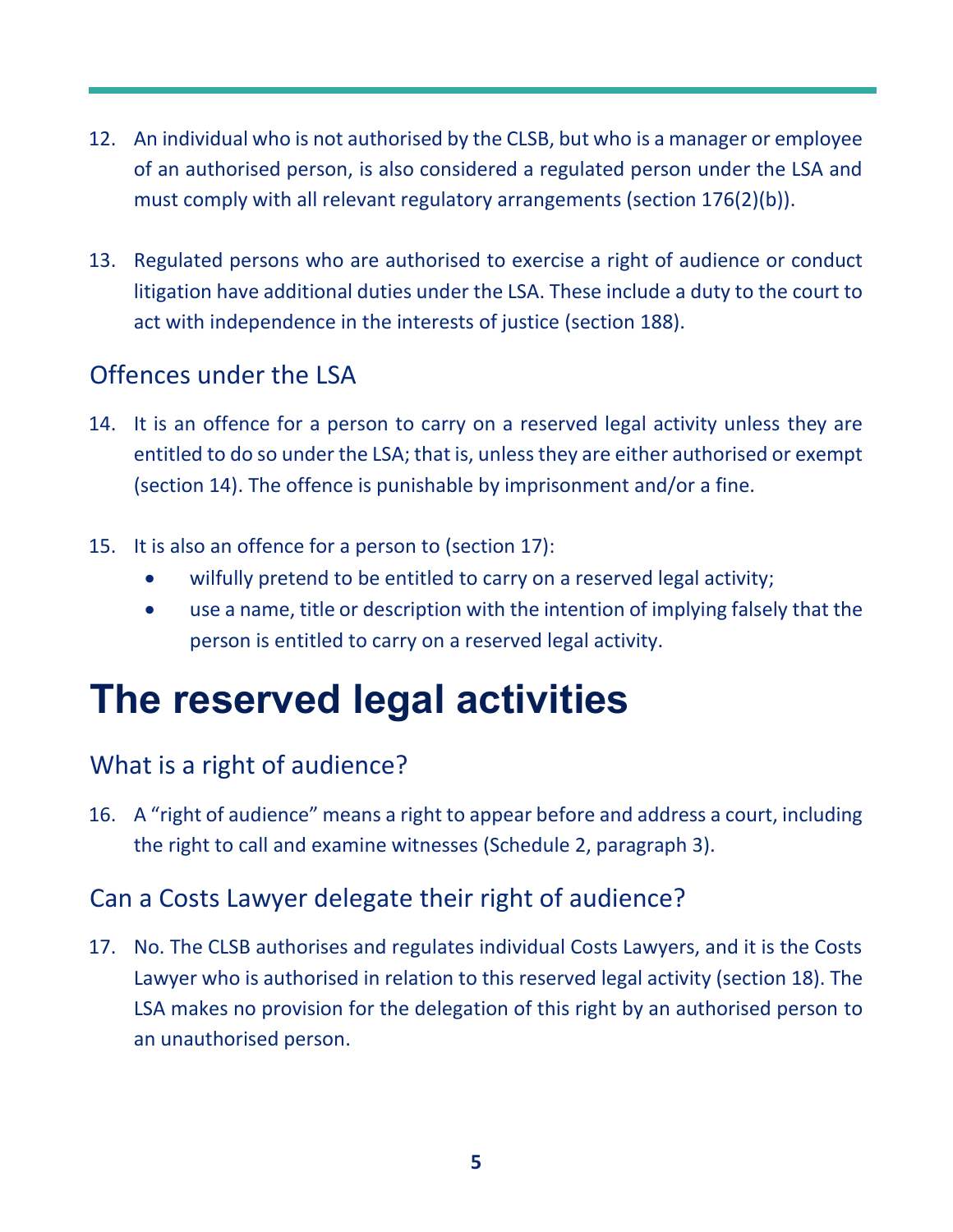- 12. An individual who is not authorised by the CLSB, but who is a manager or employee of an authorised person, is also considered a regulated person under the LSA and must comply with all relevant regulatory arrangements (section 176(2)(b)).
- 13. Regulated persons who are authorised to exercise a right of audience or conduct litigation have additional duties under the LSA. These include a duty to the court to act with independence in the interests of justice (section 188).

#### Offences under the LSA

- 14. It is an offence for a person to carry on a reserved legal activity unless they are entitled to do so under the LSA; that is, unless they are either authorised or exempt (section 14). The offence is punishable by imprisonment and/or a fine.
- 15. It is also an offence for a person to (section 17):
	- wilfully pretend to be entitled to carry on a reserved legal activity;
	- use a name, title or description with the intention of implying falsely that the person is entitled to carry on a reserved legal activity.

## **The reserved legal activities**

## What is a right of audience?

16. A "right of audience" means a right to appear before and address a court, including the right to call and examine witnesses (Schedule 2, paragraph 3).

## Can a Costs Lawyer delegate their right of audience?

17. No. The CLSB authorises and regulates individual Costs Lawyers, and it is the Costs Lawyer who is authorised in relation to this reserved legal activity (section 18). The LSA makes no provision for the delegation of this right by an authorised person to an unauthorised person.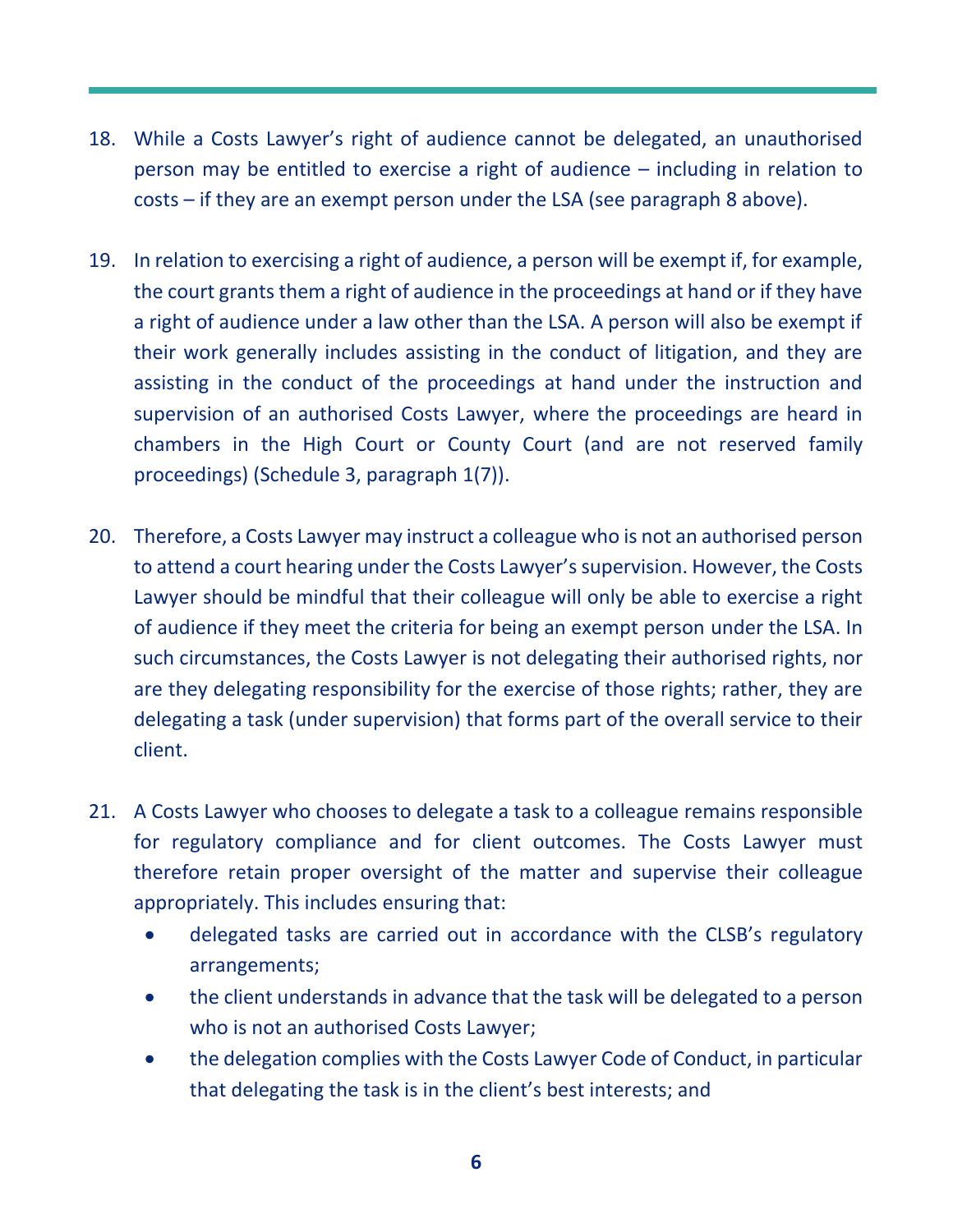- 18. While a Costs Lawyer's right of audience cannot be delegated, an unauthorised person may be entitled to exercise a right of audience – including in relation to costs – if they are an exempt person under the LSA (see paragraph 8 above).
- 19. In relation to exercising a right of audience, a person will be exempt if, for example, the court grants them a right of audience in the proceedings at hand or if they have a right of audience under a law other than the LSA. A person will also be exempt if their work generally includes assisting in the conduct of litigation, and they are assisting in the conduct of the proceedings at hand under the instruction and supervision of an authorised Costs Lawyer, where the proceedings are heard in chambers in the High Court or County Court (and are not reserved family proceedings) (Schedule 3, paragraph 1(7)).
- 20. Therefore, a Costs Lawyer may instruct a colleague who is not an authorised person to attend a court hearing under the Costs Lawyer's supervision. However, the Costs Lawyer should be mindful that their colleague will only be able to exercise a right of audience if they meet the criteria for being an exempt person under the LSA. In such circumstances, the Costs Lawyer is not delegating their authorised rights, nor are they delegating responsibility for the exercise of those rights; rather, they are delegating a task (under supervision) that forms part of the overall service to their client.
- 21. A Costs Lawyer who chooses to delegate a task to a colleague remains responsible for regulatory compliance and for client outcomes. The Costs Lawyer must therefore retain proper oversight of the matter and supervise their colleague appropriately. This includes ensuring that:
	- delegated tasks are carried out in accordance with the CLSB's regulatory arrangements;
	- the client understands in advance that the task will be delegated to a person who is not an authorised Costs Lawyer;
	- the delegation complies with the Costs Lawyer Code of Conduct, in particular that delegating the task is in the client's best interests; and